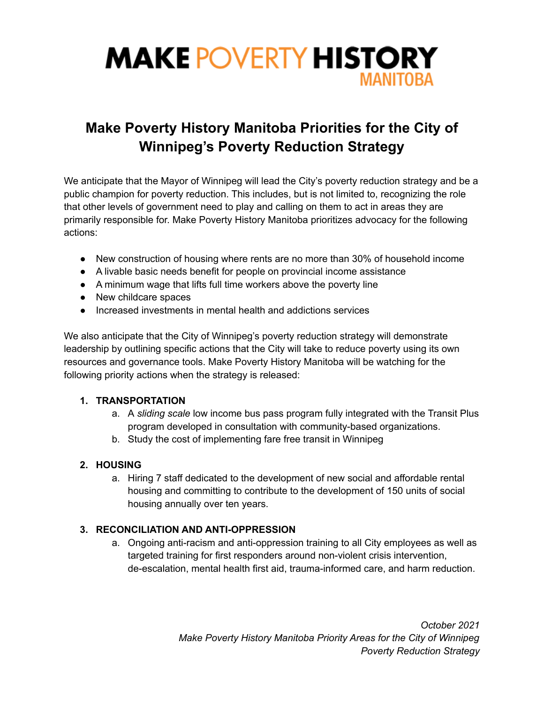

# **Make Poverty History Manitoba Priorities for the City of Winnipeg's Poverty Reduction Strategy**

We anticipate that the Mayor of Winnipeg will lead the City's poverty reduction strategy and be a public champion for poverty reduction. This includes, but is not limited to, recognizing the role that other levels of government need to play and calling on them to act in areas they are primarily responsible for. Make Poverty History Manitoba prioritizes advocacy for the following actions:

- New construction of housing where rents are no more than 30% of household income
- A livable basic needs benefit for people on provincial income assistance
- A minimum wage that lifts full time workers above the poverty line
- New childcare spaces
- Increased investments in mental health and addictions services

We also anticipate that the City of Winnipeg's poverty reduction strategy will demonstrate leadership by outlining specific actions that the City will take to reduce poverty using its own resources and governance tools. Make Poverty History Manitoba will be watching for the following priority actions when the strategy is released:

#### **1. TRANSPORTATION**

- a. A *sliding scale* low income bus pass program fully integrated with the Transit Plus program developed in consultation with community-based organizations.
- b. Study the cost of implementing fare free transit in Winnipeg

#### **2. HOUSING**

a. Hiring 7 staff dedicated to the development of new social and affordable rental housing and committing to contribute to the development of 150 units of social housing annually over ten years.

#### **3. RECONCILIATION AND ANTI-OPPRESSION**

a. Ongoing anti-racism and anti-oppression training to all City employees as well as targeted training for first responders around non-violent crisis intervention, de-escalation, mental health first aid, trauma-informed care, and harm reduction.